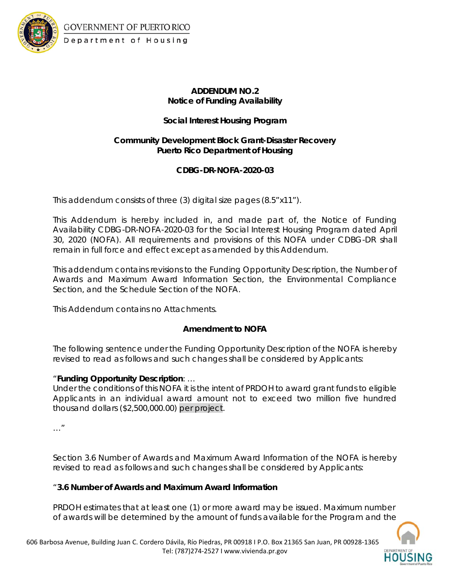

GOVERNMENT OF PUERTO RICO Department of Housing

# **ADDENDUM NO.2 Notice of Funding Availability**

# **Social Interest Housing Program**

## **Community Development Block Grant-Disaster Recovery Puerto Rico Department of Housing**

## **CDBG-DR-NOFA-2020-03**

This addendum consists of three (3) digital size pages (8.5"x11").

This Addendum is hereby included in, and made part of, the Notice of Funding Availability CDBG-DR-NOFA-2020-03 for the Social Interest Housing Program dated April 30, 2020 (NOFA). All requirements and provisions of this NOFA under CDBG-DR shall remain in full force and effect except as amended by this Addendum.

This addendum contains revisions to the Funding Opportunity Description, the Number of Awards and Maximum Award Information Section, the Environmental Compliance Section, and the Schedule Section of the NOFA.

This Addendum contains no Attachments.

## **Amendment to NOFA**

The following sentence under the Funding Opportunity Description of the NOFA is hereby revised to read as follows and such changes shall be considered by Applicants:

## "**Funding Opportunity Description**: …

Under the conditions of this NOFA it is the intent of PRDOH to award grant funds to eligible Applicants in an individual award amount not to exceed two million five hundred thousand dollars (\$2,500,000.00) per project.

…"

Section 3.6 Number of Awards and Maximum Award Information of the NOFA is hereby revised to read as follows and such changes shall be considered by Applicants:

## "**3.6 Number of Awards and Maximum Award Information**

PRDOH estimates that at least one (1) or more award may be issued. Maximum number of awards will be determined by the amount of funds available for the Program and the

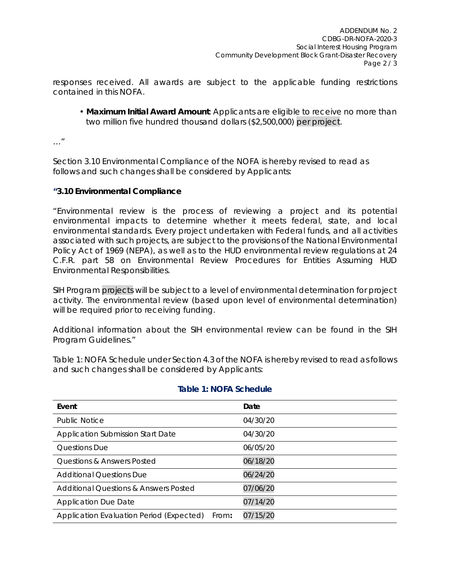responses received. All awards are subject to the applicable funding restrictions contained in this NOFA.

• **Maximum Initial Award Amount**: Applicants are eligible to receive no more than two million five hundred thousand dollars (\$2,500,000) per project.

…"

Section 3.10 Environmental Compliance of the NOFA is hereby revised to read as follows and such changes shall be considered by Applicants:

#### **"3.10 Environmental Compliance**

"Environmental review is the process of reviewing a project and its potential environmental impacts to determine whether it meets federal, state, and local environmental standards. Every project undertaken with Federal funds, and all activities associated with such projects, are subject to the provisions of the National Environmental Policy Act of 1969 (NEPA), as well as to the HUD environmental review regulations at 24 C.F.R. part 58 on Environmental Review Procedures for Entities Assuming HUD Environmental Responsibilities.

SIH Program projects will be subject to a level of environmental determination for project activity. The environmental review (based upon level of environmental determination) will be required prior to receiving funding.

Additional information about the SIH environmental review can be found in the SIH Program Guidelines."

Table 1: NOFA Schedule under Section 4.3 of the NOFA is hereby revised to read as follows and such changes shall be considered by Applicants:

|  |  |  | Table 1: NOFA Schedule |
|--|--|--|------------------------|
|--|--|--|------------------------|

| Event                                             | Date     |
|---------------------------------------------------|----------|
| <b>Public Notice</b>                              | 04/30/20 |
| Application Submission Start Date                 | 04/30/20 |
| <b>Ouestions Due</b>                              | 06/05/20 |
| Questions & Answers Posted                        | 06/18/20 |
| <b>Additional Ouestions Due</b>                   | 06/24/20 |
| Additional Ouestions & Answers Posted             | 07/06/20 |
| <b>Application Due Date</b>                       | 07/14/20 |
| Application Evaluation Period (Expected)<br>From: | 07/15/20 |